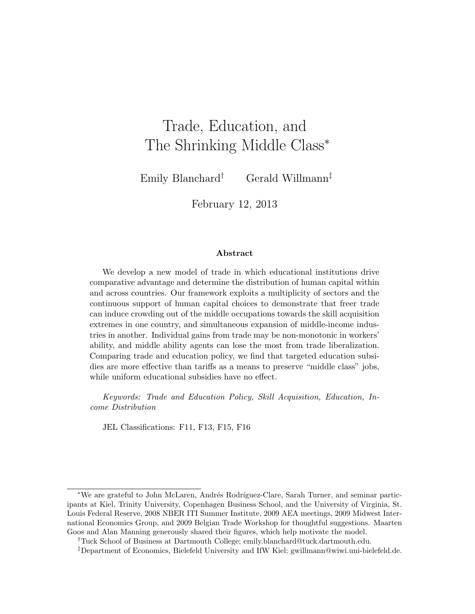# Trade, Education, and The Shrinking Middle Class<sup>\*</sup>

Emily Blanchard† Gerald Willmann‡

February 12, 2013

#### Abstract

We develop a new model of trade in which educational institutions drive comparative advantage and determine the distribution of human capital within and across countries. Our framework exploits a multiplicity of sectors and the continuous support of human capital choices to demonstrate that freer trade can induce crowding out of the middle occupations towards the skill acquisition extremes in one country, and simultaneous expansion of middle-income industries in another. Individual gains from trade may be non-monotonic in workers' ability, and middle ability agents can lose the most from trade liberalization. Comparing trade and education policy, we find that targeted education subsidies are more effective than tariffs as a means to preserve "middle class" jobs, while uniform educational subsidies have no effect.

Keywords: Trade and Education Policy, Skill Acquisition, Education, Income Distribution

JEL Classifications: F11, F13, F15, F16

<sup>\*</sup>We are grateful to John McLaren, Andrés Rodríguez-Clare, Sarah Turner, and seminar participants at Kiel, Trinity University, Copenhagen Business School, and the University of Virginia, St. Louis Federal Reserve, 2008 NBER ITI Summer Institute, 2009 AEA meetings, 2009 Midwest International Economics Group, and 2009 Belgian Trade Workshop for thoughtful suggestions. Maarten Goos and Alan Manning generously shared their figures, which help motivate the model.

<sup>†</sup>Tuck School of Business at Dartmouth College; emily.blanchard@tuck.dartmouth.edu.

<sup>‡</sup>Department of Economics, Bielefeld University and IfW Kiel; gwillmann@wiwi.uni-bielefeld.de.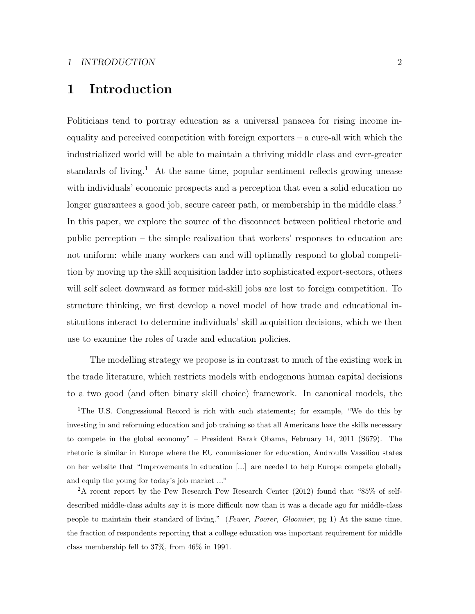# 1 Introduction

Politicians tend to portray education as a universal panacea for rising income inequality and perceived competition with foreign exporters – a cure-all with which the industrialized world will be able to maintain a thriving middle class and ever-greater standards of living.<sup>1</sup> At the same time, popular sentiment reflects growing unease with individuals' economic prospects and a perception that even a solid education no longer guarantees a good job, secure career path, or membership in the middle class.<sup>2</sup> In this paper, we explore the source of the disconnect between political rhetoric and public perception – the simple realization that workers' responses to education are not uniform: while many workers can and will optimally respond to global competition by moving up the skill acquisition ladder into sophisticated export-sectors, others will self select downward as former mid-skill jobs are lost to foreign competition. To structure thinking, we first develop a novel model of how trade and educational institutions interact to determine individuals' skill acquisition decisions, which we then use to examine the roles of trade and education policies.

The modelling strategy we propose is in contrast to much of the existing work in the trade literature, which restricts models with endogenous human capital decisions to a two good (and often binary skill choice) framework. In canonical models, the

<sup>&</sup>lt;sup>1</sup>The U.S. Congressional Record is rich with such statements; for example, "We do this by investing in and reforming education and job training so that all Americans have the skills necessary to compete in the global economy" – President Barak Obama, February 14, 2011 (S679). The rhetoric is similar in Europe where the EU commissioner for education, Androulla Vassiliou states on her website that "Improvements in education [...] are needed to help Europe compete globally and equip the young for today's job market ..."

<sup>2</sup>A recent report by the Pew Research Pew Research Center (2012) found that "85% of selfdescribed middle-class adults say it is more difficult now than it was a decade ago for middle-class people to maintain their standard of living." (Fewer, Poorer, Gloomier, pg 1) At the same time, the fraction of respondents reporting that a college education was important requirement for middle class membership fell to 37%, from 46% in 1991.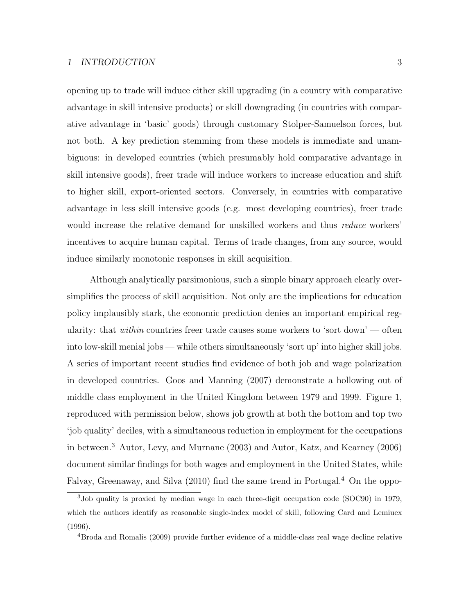opening up to trade will induce either skill upgrading (in a country with comparative advantage in skill intensive products) or skill downgrading (in countries with comparative advantage in 'basic' goods) through customary Stolper-Samuelson forces, but not both. A key prediction stemming from these models is immediate and unambiguous: in developed countries (which presumably hold comparative advantage in skill intensive goods), freer trade will induce workers to increase education and shift to higher skill, export-oriented sectors. Conversely, in countries with comparative advantage in less skill intensive goods (e.g. most developing countries), freer trade would increase the relative demand for unskilled workers and thus *reduce* workers' incentives to acquire human capital. Terms of trade changes, from any source, would induce similarly monotonic responses in skill acquisition.

Although analytically parsimonious, such a simple binary approach clearly oversimplifies the process of skill acquisition. Not only are the implications for education policy implausibly stark, the economic prediction denies an important empirical regularity: that *within* countries freer trade causes some workers to 'sort down' — often into low-skill menial jobs — while others simultaneously 'sort up' into higher skill jobs. A series of important recent studies find evidence of both job and wage polarization in developed countries. Goos and Manning (2007) demonstrate a hollowing out of middle class employment in the United Kingdom between 1979 and 1999. Figure 1, reproduced with permission below, shows job growth at both the bottom and top two 'job quality' deciles, with a simultaneous reduction in employment for the occupations in between.<sup>3</sup> Autor, Levy, and Murnane (2003) and Autor, Katz, and Kearney (2006) document similar findings for both wages and employment in the United States, while Falvay, Greenaway, and Silva (2010) find the same trend in Portugal.<sup>4</sup> On the oppo-

<sup>3</sup>Job quality is proxied by median wage in each three-digit occupation code (SOC90) in 1979, which the authors identify as reasonable single-index model of skill, following Card and Lemiuex (1996).

<sup>4</sup>Broda and Romalis (2009) provide further evidence of a middle-class real wage decline relative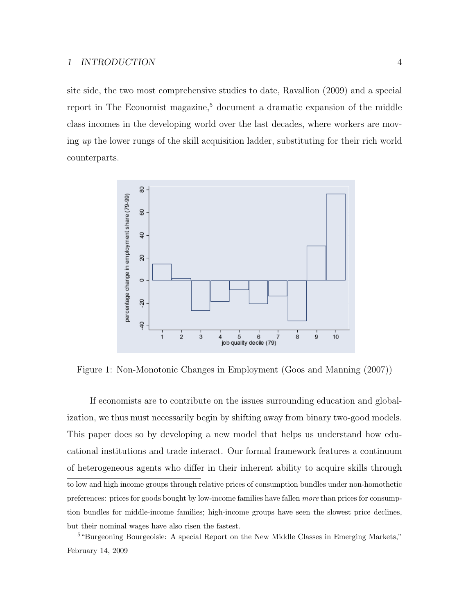site side, the two most comprehensive studies to date, Ravallion (2009) and a special report in The Economist magazine, $5$  document a dramatic expansion of the middle class incomes in the developing world over the last decades, where workers are moving up the lower rungs of the skill acquisition ladder, substituting for their rich world counterparts.



Figure 1: Non-Monotonic Changes in Employment (Goos and Manning (2007))

If economists are to contribute on the issues surrounding education and globalization, we thus must necessarily begin by shifting away from binary two-good models. This paper does so by developing a new model that helps us understand how educational institutions and trade interact. Our formal framework features a continuum of heterogeneous agents who differ in their inherent ability to acquire skills through to low and high income groups through relative prices of consumption bundles under non-homothetic preferences: prices for goods bought by low-income families have fallen more than prices for consumption bundles for middle-income families; high-income groups have seen the slowest price declines, but their nominal wages have also risen the fastest.

<sup>5</sup>"Burgeoning Bourgeoisie: A special Report on the New Middle Classes in Emerging Markets," February 14, 2009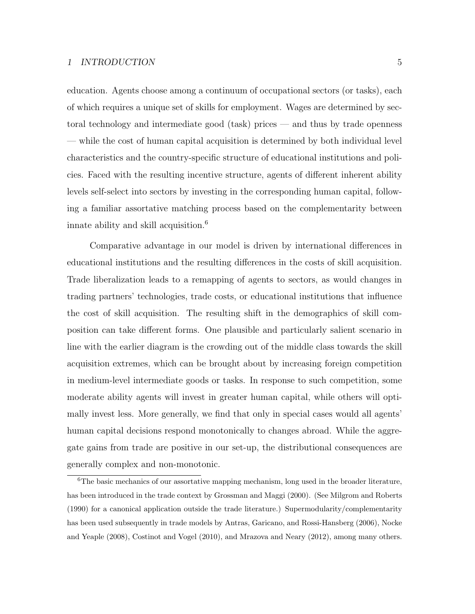#### 1 INTRODUCTION 5

education. Agents choose among a continuum of occupational sectors (or tasks), each of which requires a unique set of skills for employment. Wages are determined by sectoral technology and intermediate good (task) prices — and thus by trade openness — while the cost of human capital acquisition is determined by both individual level characteristics and the country-specific structure of educational institutions and policies. Faced with the resulting incentive structure, agents of different inherent ability levels self-select into sectors by investing in the corresponding human capital, following a familiar assortative matching process based on the complementarity between innate ability and skill acquisition.<sup>6</sup>

Comparative advantage in our model is driven by international differences in educational institutions and the resulting differences in the costs of skill acquisition. Trade liberalization leads to a remapping of agents to sectors, as would changes in trading partners' technologies, trade costs, or educational institutions that influence the cost of skill acquisition. The resulting shift in the demographics of skill composition can take different forms. One plausible and particularly salient scenario in line with the earlier diagram is the crowding out of the middle class towards the skill acquisition extremes, which can be brought about by increasing foreign competition in medium-level intermediate goods or tasks. In response to such competition, some moderate ability agents will invest in greater human capital, while others will optimally invest less. More generally, we find that only in special cases would all agents' human capital decisions respond monotonically to changes abroad. While the aggregate gains from trade are positive in our set-up, the distributional consequences are generally complex and non-monotonic.

<sup>&</sup>lt;sup>6</sup>The basic mechanics of our assortative mapping mechanism, long used in the broader literature, has been introduced in the trade context by Grossman and Maggi (2000). (See Milgrom and Roberts (1990) for a canonical application outside the trade literature.) Supermodularity/complementarity has been used subsequently in trade models by Antras, Garicano, and Rossi-Hansberg (2006), Nocke and Yeaple (2008), Costinot and Vogel (2010), and Mrazova and Neary (2012), among many others.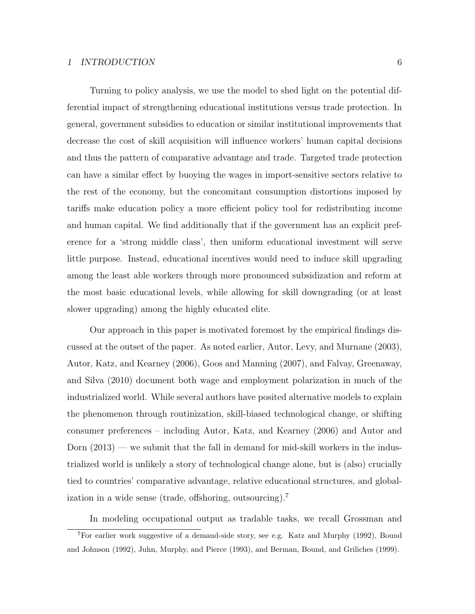Turning to policy analysis, we use the model to shed light on the potential differential impact of strengthening educational institutions versus trade protection. In general, government subsidies to education or similar institutional improvements that decrease the cost of skill acquisition will influence workers' human capital decisions and thus the pattern of comparative advantage and trade. Targeted trade protection can have a similar effect by buoying the wages in import-sensitive sectors relative to the rest of the economy, but the concomitant consumption distortions imposed by tariffs make education policy a more efficient policy tool for redistributing income and human capital. We find additionally that if the government has an explicit preference for a 'strong middle class', then uniform educational investment will serve little purpose. Instead, educational incentives would need to induce skill upgrading among the least able workers through more pronounced subsidization and reform at the most basic educational levels, while allowing for skill downgrading (or at least slower upgrading) among the highly educated elite.

Our approach in this paper is motivated foremost by the empirical findings discussed at the outset of the paper. As noted earlier, Autor, Levy, and Murnane (2003), Autor, Katz, and Kearney (2006), Goos and Manning (2007), and Falvay, Greenaway, and Silva (2010) document both wage and employment polarization in much of the industrialized world. While several authors have posited alternative models to explain the phenomenon through routinization, skill-biased technological change, or shifting consumer preferences – including Autor, Katz, and Kearney (2006) and Autor and Dorn (2013) — we submit that the fall in demand for mid-skill workers in the industrialized world is unlikely a story of technological change alone, but is (also) crucially tied to countries' comparative advantage, relative educational structures, and globalization in a wide sense (trade, offshoring, outsourcing).<sup>7</sup>

In modeling occupational output as tradable tasks, we recall Grossman and

<sup>7</sup>For earlier work suggestive of a demand-side story, see e.g. Katz and Murphy (1992), Bound and Johnson (1992), Juhn, Murphy, and Pierce (1993), and Berman, Bound, and Griliches (1999).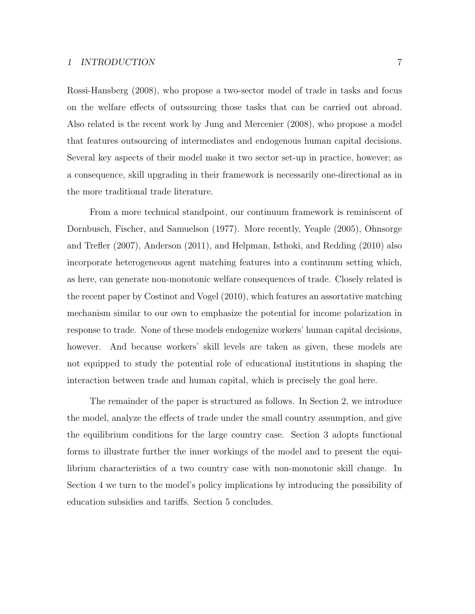Rossi-Hansberg (2008), who propose a two-sector model of trade in tasks and focus on the welfare effects of outsourcing those tasks that can be carried out abroad. Also related is the recent work by Jung and Mercenier (2008), who propose a model that features outsourcing of intermediates and endogenous human capital decisions. Several key aspects of their model make it two sector set-up in practice, however; as a consequence, skill upgrading in their framework is necessarily one-directional as in the more traditional trade literature.

From a more technical standpoint, our continuum framework is reminiscent of Dornbusch, Fischer, and Samuelson (1977). More recently, Yeaple (2005), Ohnsorge and Trefler (2007), Anderson (2011), and Helpman, Isthoki, and Redding (2010) also incorporate heterogeneous agent matching features into a continuum setting which, as here, can generate non-monotonic welfare consequences of trade. Closely related is the recent paper by Costinot and Vogel (2010), which features an assortative matching mechanism similar to our own to emphasize the potential for income polarization in response to trade. None of these models endogenize workers' human capital decisions, however. And because workers' skill levels are taken as given, these models are not equipped to study the potential role of educational institutions in shaping the interaction between trade and human capital, which is precisely the goal here.

The remainder of the paper is structured as follows. In Section 2, we introduce the model, analyze the effects of trade under the small country assumption, and give the equilibrium conditions for the large country case. Section 3 adopts functional forms to illustrate further the inner workings of the model and to present the equilibrium characteristics of a two country case with non-monotonic skill change. In Section 4 we turn to the model's policy implications by introducing the possibility of education subsidies and tariffs. Section 5 concludes.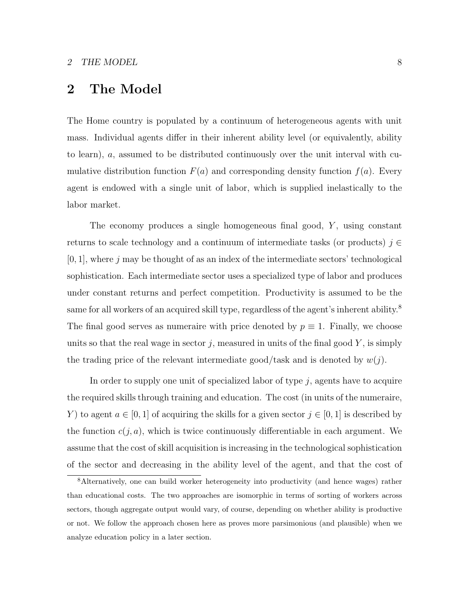### 2 The Model

The Home country is populated by a continuum of heterogeneous agents with unit mass. Individual agents differ in their inherent ability level (or equivalently, ability to learn), a, assumed to be distributed continuously over the unit interval with cumulative distribution function  $F(a)$  and corresponding density function  $f(a)$ . Every agent is endowed with a single unit of labor, which is supplied inelastically to the labor market.

The economy produces a single homogeneous final good,  $Y$ , using constant returns to scale technology and a continuum of intermediate tasks (or products)  $j \in \mathbb{C}$  $[0, 1]$ , where j may be thought of as an index of the intermediate sectors' technological sophistication. Each intermediate sector uses a specialized type of labor and produces under constant returns and perfect competition. Productivity is assumed to be the same for all workers of an acquired skill type, regardless of the agent's inherent ability.<sup>8</sup> The final good serves as numeraire with price denoted by  $p \equiv 1$ . Finally, we choose units so that the real wage in sector j, measured in units of the final good  $Y$ , is simply the trading price of the relevant intermediate good/task and is denoted by  $w(j)$ .

In order to supply one unit of specialized labor of type  $j$ , agents have to acquire the required skills through training and education. The cost (in units of the numeraire, Y) to agent  $a \in [0, 1]$  of acquiring the skills for a given sector  $j \in [0, 1]$  is described by the function  $c(j, a)$ , which is twice continuously differentiable in each argument. We assume that the cost of skill acquisition is increasing in the technological sophistication of the sector and decreasing in the ability level of the agent, and that the cost of

<sup>8</sup>Alternatively, one can build worker heterogeneity into productivity (and hence wages) rather than educational costs. The two approaches are isomorphic in terms of sorting of workers across sectors, though aggregate output would vary, of course, depending on whether ability is productive or not. We follow the approach chosen here as proves more parsimonious (and plausible) when we analyze education policy in a later section.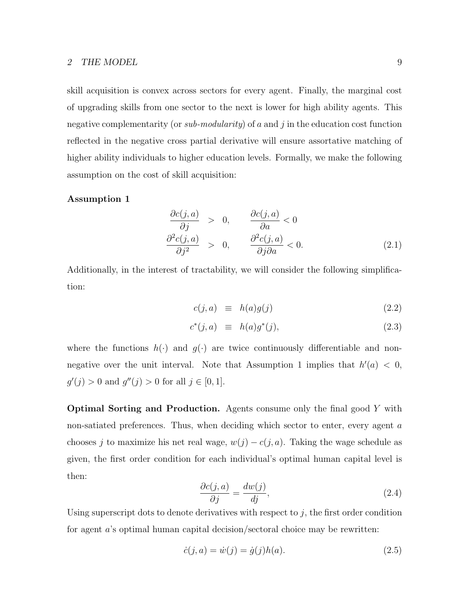#### 2 THE MODEL 9

skill acquisition is convex across sectors for every agent. Finally, the marginal cost of upgrading skills from one sector to the next is lower for high ability agents. This negative complementarity (or *sub-modularity*) of a and j in the education cost function reflected in the negative cross partial derivative will ensure assortative matching of higher ability individuals to higher education levels. Formally, we make the following assumption on the cost of skill acquisition:

#### Assumption 1

$$
\frac{\partial c(j, a)}{\partial j} > 0, \qquad \frac{\partial c(j, a)}{\partial a} < 0
$$
  

$$
\frac{\partial^2 c(j, a)}{\partial j^2} > 0, \qquad \frac{\partial^2 c(j, a)}{\partial j \partial a} < 0.
$$
 (2.1)

Additionally, in the interest of tractability, we will consider the following simplification:

$$
c(j, a) \equiv h(a)g(j) \tag{2.2}
$$

$$
c^*(j, a) \equiv h(a)g^*(j), \qquad (2.3)
$$

where the functions  $h(\cdot)$  and  $g(\cdot)$  are twice continuously differentiable and nonnegative over the unit interval. Note that Assumption 1 implies that  $h'(a) < 0$ ,  $g'(j) > 0$  and  $g''(j) > 0$  for all  $j \in [0, 1]$ .

Optimal Sorting and Production. Agents consume only the final good Y with non-satiated preferences. Thus, when deciding which sector to enter, every agent a chooses j to maximize his net real wage,  $w(j) - c(j, a)$ . Taking the wage schedule as given, the first order condition for each individual's optimal human capital level is then:

$$
\frac{\partial c(j, a)}{\partial j} = \frac{dw(j)}{dj},\tag{2.4}
$$

Using superscript dots to denote derivatives with respect to  $j$ , the first order condition for agent a's optimal human capital decision/sectoral choice may be rewritten:

$$
\dot{c}(j, a) = \dot{w}(j) = \dot{g}(j)h(a).
$$
\n(2.5)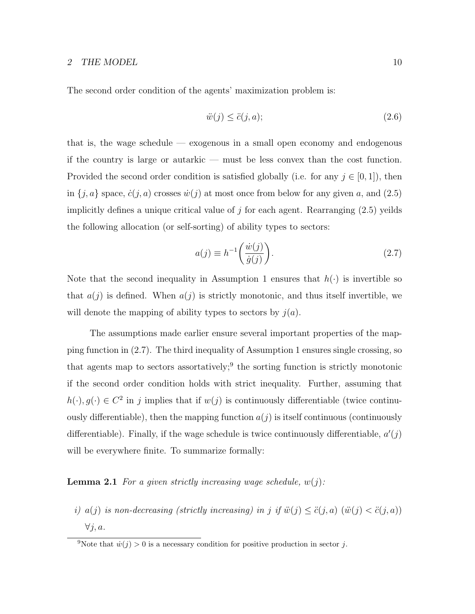The second order condition of the agents' maximization problem is:

$$
\ddot{w}(j) \le \ddot{c}(j, a); \tag{2.6}
$$

that is, the wage schedule — exogenous in a small open economy and endogenous if the country is large or autarkic — must be less convex than the cost function. Provided the second order condition is satisfied globally (i.e. for any  $j \in [0,1]$ ), then in  $\{j, a\}$  space,  $\dot{c}(j, a)$  crosses  $\dot{w}(j)$  at most once from below for any given a, and (2.5) implicitly defines a unique critical value of  $j$  for each agent. Rearranging  $(2.5)$  yeilds the following allocation (or self-sorting) of ability types to sectors:

$$
a(j) \equiv h^{-1} \left( \frac{\dot{w}(j)}{\dot{g}(j)} \right). \tag{2.7}
$$

Note that the second inequality in Assumption 1 ensures that  $h(\cdot)$  is invertible so that  $a(j)$  is defined. When  $a(j)$  is strictly monotonic, and thus itself invertible, we will denote the mapping of ability types to sectors by  $j(a)$ .

The assumptions made earlier ensure several important properties of the mapping function in (2.7). The third inequality of Assumption 1 ensures single crossing, so that agents map to sectors assortatively;<sup>9</sup> the sorting function is strictly monotonic if the second order condition holds with strict inequality. Further, assuming that  $h(\cdot), g(\cdot) \in C^2$  in j implies that if  $w(j)$  is continuously differentiable (twice continuously differentiable), then the mapping function  $a(j)$  is itself continuous (continuously differentiable). Finally, if the wage schedule is twice continuously differentiable,  $a'(j)$ will be everywhere finite. To summarize formally:

**Lemma 2.1** For a given strictly increasing wage schedule,  $w(j)$ :

i)  $a(j)$  is non-decreasing (strictly increasing) in j if  $\ddot{w}(j) \leq \ddot{c}(j, a)$   $(\ddot{w}(j) < \ddot{c}(j, a))$  $\forall j, a.$ 

<sup>&</sup>lt;sup>9</sup>Note that  $\dot{w}(j) > 0$  is a necessary condition for positive production in sector j.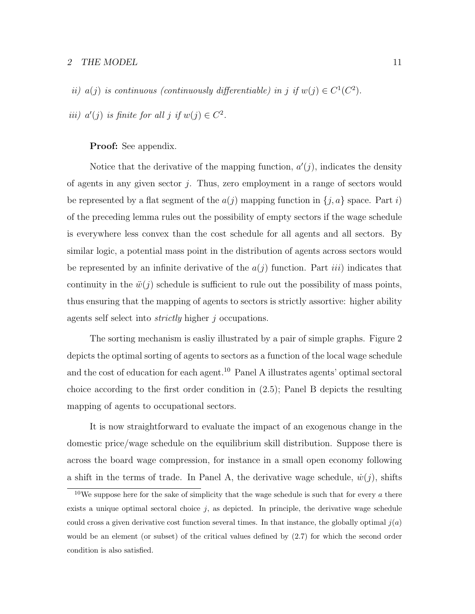#### 2 THE MODEL  $11$

ii)  $a(j)$  is continuous (continuously differentiable) in j if  $w(j) \in C^1(C^2)$ .

iii)  $a'(j)$  is finite for all j if  $w(j) \in C^2$ .

#### Proof: See appendix.

Notice that the derivative of the mapping function,  $a'(j)$ , indicates the density of agents in any given sector  $j$ . Thus, zero employment in a range of sectors would be represented by a flat segment of the  $a(j)$  mapping function in  $\{j, a\}$  space. Part i) of the preceding lemma rules out the possibility of empty sectors if the wage schedule is everywhere less convex than the cost schedule for all agents and all sectors. By similar logic, a potential mass point in the distribution of agents across sectors would be represented by an infinite derivative of the  $a(j)$  function. Part *iii*) indicates that continuity in the  $\ddot{w}(i)$  schedule is sufficient to rule out the possibility of mass points, thus ensuring that the mapping of agents to sectors is strictly assortive: higher ability agents self select into strictly higher j occupations.

The sorting mechanism is easliy illustrated by a pair of simple graphs. Figure 2 depicts the optimal sorting of agents to sectors as a function of the local wage schedule and the cost of education for each agent.<sup>10</sup> Panel A illustrates agents' optimal sectoral choice according to the first order condition in (2.5); Panel B depicts the resulting mapping of agents to occupational sectors.

It is now straightforward to evaluate the impact of an exogenous change in the domestic price/wage schedule on the equilibrium skill distribution. Suppose there is across the board wage compression, for instance in a small open economy following a shift in the terms of trade. In Panel A, the derivative wage schedule,  $\dot{w}(j)$ , shifts

<sup>&</sup>lt;sup>10</sup>We suppose here for the sake of simplicity that the wage schedule is such that for every a there exists a unique optimal sectoral choice  $j$ , as depicted. In principle, the derivative wage schedule could cross a given derivative cost function several times. In that instance, the globally optimal  $j(a)$ would be an element (or subset) of the critical values defined by (2.7) for which the second order condition is also satisfied.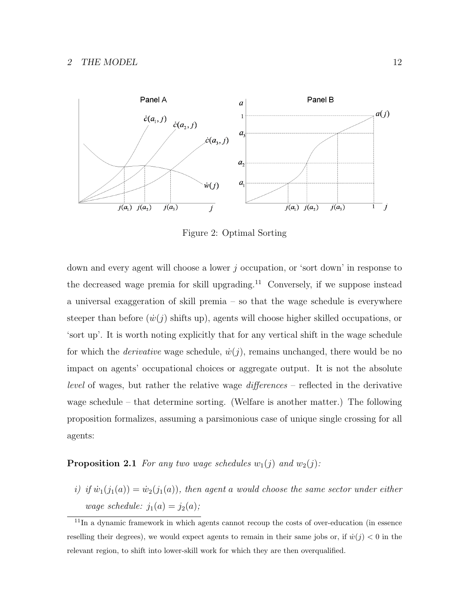

Figure 2: Optimal Sorting

down and every agent will choose a lower  $j$  occupation, or 'sort down' in response to the decreased wage premia for skill upgrading.<sup>11</sup> Conversely, if we suppose instead a universal exaggeration of skill premia – so that the wage schedule is everywhere steeper than before  $(\dot{w}(i))$  shifts up), agents will choose higher skilled occupations, or 'sort up'. It is worth noting explicitly that for any vertical shift in the wage schedule for which the *derivative* wage schedule,  $\dot{w}(j)$ , remains unchanged, there would be no impact on agents' occupational choices or aggregate output. It is not the absolute level of wages, but rather the relative wage differences – reflected in the derivative wage schedule – that determine sorting. (Welfare is another matter.) The following proposition formalizes, assuming a parsimonious case of unique single crossing for all agents:

**Proposition 2.1** For any two wage schedules  $w_1(j)$  and  $w_2(j)$ :

i) if  $\dot{w}_1(j_1(a)) = \dot{w}_2(j_1(a))$ , then agent a would choose the same sector under either wage schedule:  $j_1(a) = j_2(a)$ ;

<sup>&</sup>lt;sup>11</sup>In a dynamic framework in which agents cannot recoup the costs of over-education (in essence reselling their degrees), we would expect agents to remain in their same jobs or, if  $\dot{w}(j) < 0$  in the relevant region, to shift into lower-skill work for which they are then overqualified.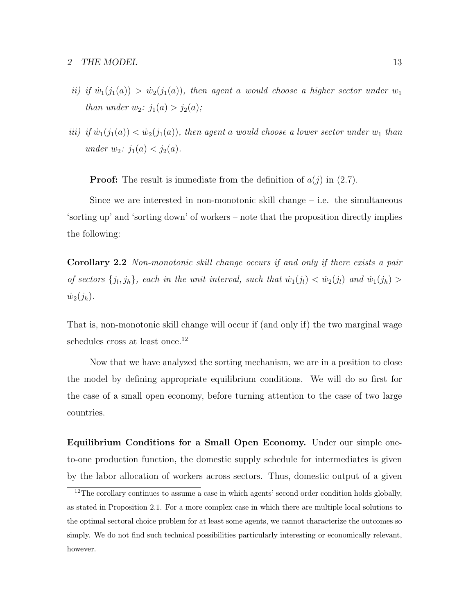- ii) if  $\dot{w}_1(j_1(a)) > \dot{w}_2(j_1(a))$ , then agent a would choose a higher sector under  $w_1$ than under  $w_2$ :  $j_1(a) > j_2(a)$ ;
- iii) if  $\dot{w}_1(j_1(a)) < \dot{w}_2(j_1(a))$ , then agent a would choose a lower sector under  $w_1$  than under  $w_2$ :  $j_1(a) < j_2(a)$ .

**Proof:** The result is immediate from the definition of  $a(j)$  in (2.7).

Since we are interested in non-monotonic skill change – i.e. the simultaneous 'sorting up' and 'sorting down' of workers – note that the proposition directly implies the following:

Corollary 2.2 Non-monotonic skill change occurs if and only if there exists a pair of sectors  $\{j_l, j_h\}$ , each in the unit interval, such that  $\dot{w}_1(j_l) < \dot{w}_2(j_l)$  and  $\dot{w}_1(j_h) >$  $\dot{w}_2(j_h)$ .

That is, non-monotonic skill change will occur if (and only if) the two marginal wage schedules cross at least once.<sup>12</sup>

Now that we have analyzed the sorting mechanism, we are in a position to close the model by defining appropriate equilibrium conditions. We will do so first for the case of a small open economy, before turning attention to the case of two large countries.

Equilibrium Conditions for a Small Open Economy. Under our simple oneto-one production function, the domestic supply schedule for intermediates is given by the labor allocation of workers across sectors. Thus, domestic output of a given

<sup>&</sup>lt;sup>12</sup>The corollary continues to assume a case in which agents' second order condition holds globally, as stated in Proposition 2.1. For a more complex case in which there are multiple local solutions to the optimal sectoral choice problem for at least some agents, we cannot characterize the outcomes so simply. We do not find such technical possibilities particularly interesting or economically relevant, however.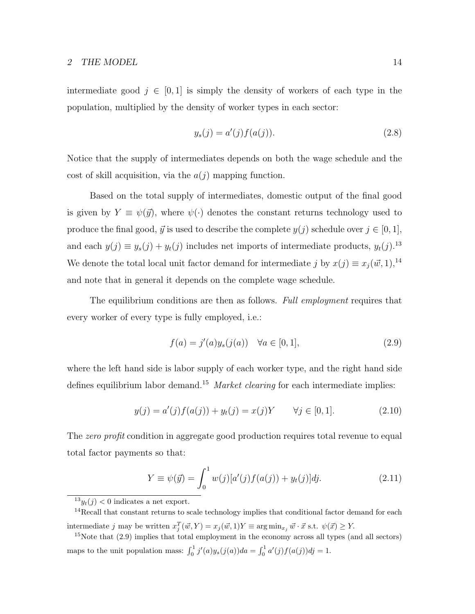#### 2 THE MODEL 14

intermediate good  $j \in [0, 1]$  is simply the density of workers of each type in the population, multiplied by the density of worker types in each sector:

$$
y_s(j) = a'(j)f(a(j)).
$$
\n(2.8)

Notice that the supply of intermediates depends on both the wage schedule and the cost of skill acquisition, via the  $a(j)$  mapping function.

Based on the total supply of intermediates, domestic output of the final good is given by  $Y \equiv \psi(\vec{y})$ , where  $\psi(\cdot)$  denotes the constant returns technology used to produce the final good,  $\vec{y}$  is used to describe the complete  $y(j)$  schedule over  $j \in [0, 1]$ , and each  $y(j) \equiv y_s(j) + y_t(j)$  includes net imports of intermediate products,  $y_t(j)$ .<sup>13</sup> We denote the total local unit factor demand for intermediate j by  $x(j) \equiv x_j (\vec{w}, 1),^{14}$ and note that in general it depends on the complete wage schedule.

The equilibrium conditions are then as follows. Full employment requires that every worker of every type is fully employed, i.e.:

$$
f(a) = j'(a)y_s(j(a)) \quad \forall a \in [0, 1],
$$
\n(2.9)

where the left hand side is labor supply of each worker type, and the right hand side defines equilibrium labor demand.<sup>15</sup> Market clearing for each intermediate implies:

$$
y(j) = a'(j)f(a(j)) + y_t(j) = x(j)Y \qquad \forall j \in [0, 1].
$$
\n(2.10)

The zero profit condition in aggregate good production requires total revenue to equal total factor payments so that:

$$
Y \equiv \psi(\vec{y}) = \int_0^1 w(j)[a'(j)f(a(j)) + y_t(j)]dj.
$$
\n(2.11)

 $13y_t(j) < 0$  indicates a net export.

<sup>&</sup>lt;sup>14</sup>Recall that constant returns to scale technology implies that conditional factor demand for each intermediate j may be written  $x_j^T(\vec{w}, Y) = x_j(\vec{w}, 1)Y \equiv \arg \min_{x_j} \vec{w} \cdot \vec{x}$  s.t.  $\psi(\vec{x}) \ge Y$ .

<sup>&</sup>lt;sup>15</sup>Note that (2.9) implies that total employment in the economy across all types (and all sectors) maps to the unit population mass:  $\int_0^1 j'(a)y_s(j(a))da = \int_0^1 a'(j)f(a(j))dj = 1$ .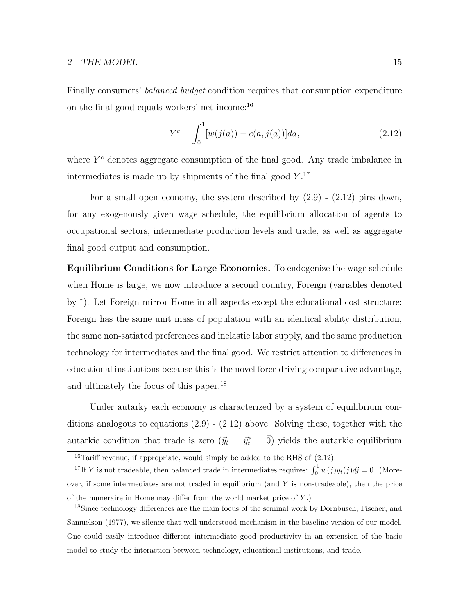#### 2 THE MODEL 15

Finally consumers' balanced budget condition requires that consumption expenditure on the final good equals workers' net income:<sup>16</sup>

$$
Y^{c} = \int_{0}^{1} [w(j(a)) - c(a, j(a))]da,
$$
\n(2.12)

where  $Y<sup>c</sup>$  denotes aggregate consumption of the final good. Any trade imbalance in intermediates is made up by shipments of the final good  $Y$ .<sup>17</sup>

For a small open economy, the system described by  $(2.9)$  -  $(2.12)$  pins down, for any exogenously given wage schedule, the equilibrium allocation of agents to occupational sectors, intermediate production levels and trade, as well as aggregate final good output and consumption.

Equilibrium Conditions for Large Economies. To endogenize the wage schedule when Home is large, we now introduce a second country, Foreign (variables denoted by <sup>∗</sup> ). Let Foreign mirror Home in all aspects except the educational cost structure: Foreign has the same unit mass of population with an identical ability distribution, the same non-satiated preferences and inelastic labor supply, and the same production technology for intermediates and the final good. We restrict attention to differences in educational institutions because this is the novel force driving comparative advantage, and ultimately the focus of this paper.<sup>18</sup>

Under autarky each economy is characterized by a system of equilibrium conditions analogous to equations (2.9) - (2.12) above. Solving these, together with the autarkic condition that trade is zero  $(\vec{y}_t = \vec{y}_t^* = \vec{0})$  yields the autarkic equilibrium

 $\frac{16}{16}$ Tariff revenue, if appropriate, would simply be added to the RHS of (2.12).

<sup>&</sup>lt;sup>17</sup>If Y is not tradeable, then balanced trade in intermediates requires:  $\int_0^1 w(j)y_t(j)dj = 0$ . (Moreover, if some intermediates are not traded in equilibrium (and  $Y$  is non-tradeable), then the price of the numeraire in Home may differ from the world market price of Y .)

<sup>18</sup>Since technology differences are the main focus of the seminal work by Dornbusch, Fischer, and Samuelson (1977), we silence that well understood mechanism in the baseline version of our model. One could easily introduce different intermediate good productivity in an extension of the basic model to study the interaction between technology, educational institutions, and trade.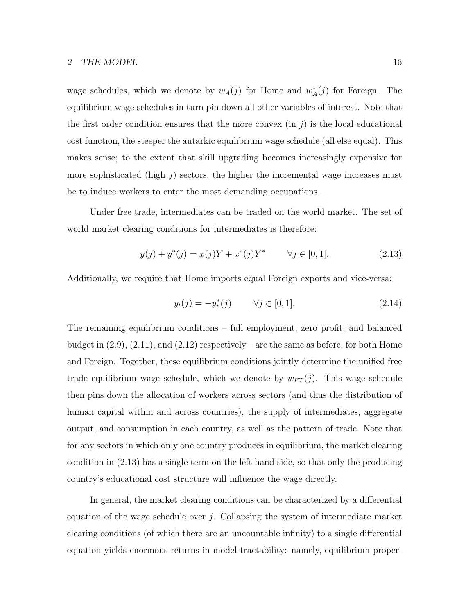wage schedules, which we denote by  $w_A(j)$  for Home and  $w_A^*(j)$  for Foreign. The equilibrium wage schedules in turn pin down all other variables of interest. Note that the first order condition ensures that the more convex (in  $j$ ) is the local educational cost function, the steeper the autarkic equilibrium wage schedule (all else equal). This makes sense; to the extent that skill upgrading becomes increasingly expensive for more sophisticated (high  $j$ ) sectors, the higher the incremental wage increases must be to induce workers to enter the most demanding occupations.

Under free trade, intermediates can be traded on the world market. The set of world market clearing conditions for intermediates is therefore:

$$
y(j) + y^*(j) = x(j)Y + x^*(j)Y^* \qquad \forall j \in [0, 1].
$$
\n(2.13)

Additionally, we require that Home imports equal Foreign exports and vice-versa:

$$
y_t(j) = -y_t^*(j) \qquad \forall j \in [0, 1]. \tag{2.14}
$$

The remaining equilibrium conditions – full employment, zero profit, and balanced budget in  $(2.9)$ ,  $(2.11)$ , and  $(2.12)$  respectively – are the same as before, for both Home and Foreign. Together, these equilibrium conditions jointly determine the unified free trade equilibrium wage schedule, which we denote by  $w_{FT}(j)$ . This wage schedule then pins down the allocation of workers across sectors (and thus the distribution of human capital within and across countries), the supply of intermediates, aggregate output, and consumption in each country, as well as the pattern of trade. Note that for any sectors in which only one country produces in equilibrium, the market clearing condition in (2.13) has a single term on the left hand side, so that only the producing country's educational cost structure will influence the wage directly.

In general, the market clearing conditions can be characterized by a differential equation of the wage schedule over j. Collapsing the system of intermediate market clearing conditions (of which there are an uncountable infinity) to a single differential equation yields enormous returns in model tractability: namely, equilibrium proper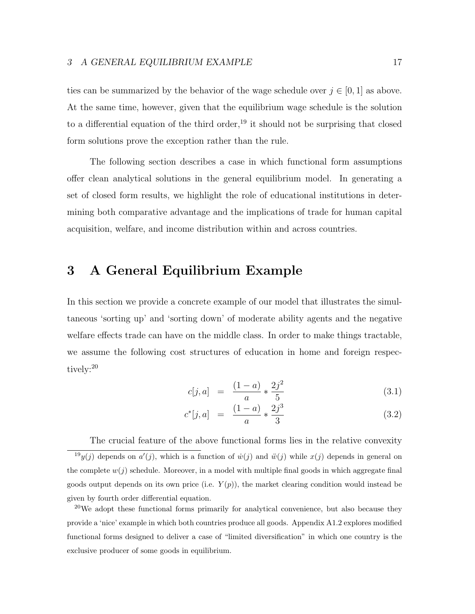ties can be summarized by the behavior of the wage schedule over  $j \in [0, 1]$  as above. At the same time, however, given that the equilibrium wage schedule is the solution to a differential equation of the third order,<sup>19</sup> it should not be surprising that closed form solutions prove the exception rather than the rule.

The following section describes a case in which functional form assumptions offer clean analytical solutions in the general equilibrium model. In generating a set of closed form results, we highlight the role of educational institutions in determining both comparative advantage and the implications of trade for human capital acquisition, welfare, and income distribution within and across countries.

# 3 A General Equilibrium Example

In this section we provide a concrete example of our model that illustrates the simultaneous 'sorting up' and 'sorting down' of moderate ability agents and the negative welfare effects trade can have on the middle class. In order to make things tractable, we assume the following cost structures of education in home and foreign respectively:<sup>20</sup>

$$
c[j, a] = \frac{(1-a)}{a} * \frac{2j^2}{5}
$$
 (3.1)

$$
c^*[j, a] = \frac{(1-a)}{a} * \frac{2j^3}{3} \tag{3.2}
$$

The crucial feature of the above functional forms lies in the relative convexity <sup>19</sup>y(j) depends on  $a'(j)$ , which is a function of  $\dot{w}(j)$  and  $\ddot{w}(j)$  while  $x(j)$  depends in general on the complete  $w(j)$  schedule. Moreover, in a model with multiple final goods in which aggregate final goods output depends on its own price (i.e.  $Y(p)$ ), the market clearing condition would instead be given by fourth order differential equation.

 $20$ We adopt these functional forms primarily for analytical convenience, but also because they provide a 'nice' example in which both countries produce all goods. Appendix A1.2 explores modified functional forms designed to deliver a case of "limited diversification" in which one country is the exclusive producer of some goods in equilibrium.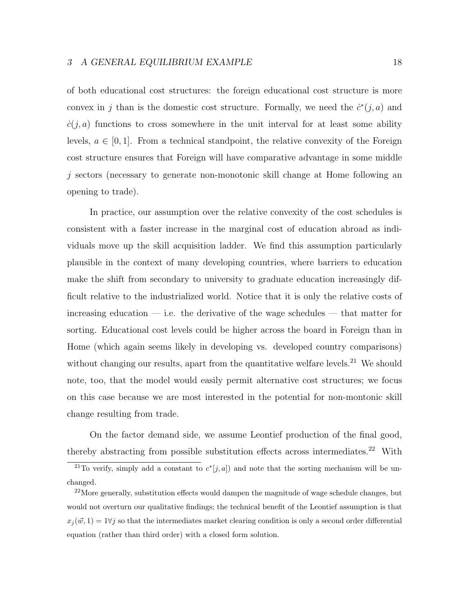of both educational cost structures: the foreign educational cost structure is more convex in j than is the domestic cost structure. Formally, we need the  $\dot{c}^*(j, a)$  and  $\dot{c}(i, a)$  functions to cross somewhere in the unit interval for at least some ability levels,  $a \in [0, 1]$ . From a technical standpoint, the relative convexity of the Foreign cost structure ensures that Foreign will have comparative advantage in some middle j sectors (necessary to generate non-monotonic skill change at Home following an opening to trade).

In practice, our assumption over the relative convexity of the cost schedules is consistent with a faster increase in the marginal cost of education abroad as individuals move up the skill acquisition ladder. We find this assumption particularly plausible in the context of many developing countries, where barriers to education make the shift from secondary to university to graduate education increasingly difficult relative to the industrialized world. Notice that it is only the relative costs of increasing education — i.e. the derivative of the wage schedules — that matter for sorting. Educational cost levels could be higher across the board in Foreign than in Home (which again seems likely in developing vs. developed country comparisons) without changing our results, apart from the quantitative welfare levels.<sup>21</sup> We should note, too, that the model would easily permit alternative cost structures; we focus on this case because we are most interested in the potential for non-montonic skill change resulting from trade.

On the factor demand side, we assume Leontief production of the final good, thereby abstracting from possible substitution effects across intermediates.<sup>22</sup> With

<sup>&</sup>lt;sup>21</sup>To verify, simply add a constant to  $c^*[j, a]$  and note that the sorting mechanism will be unchanged.

 $22$ More generally, substitution effects would dampen the magnitude of wage schedule changes, but would not overturn our qualitative findings; the technical benefit of the Leontief assumption is that  $x_j(\vec{w}, 1) = 1 \forall j$  so that the intermediates market clearing condition is only a second order differential equation (rather than third order) with a closed form solution.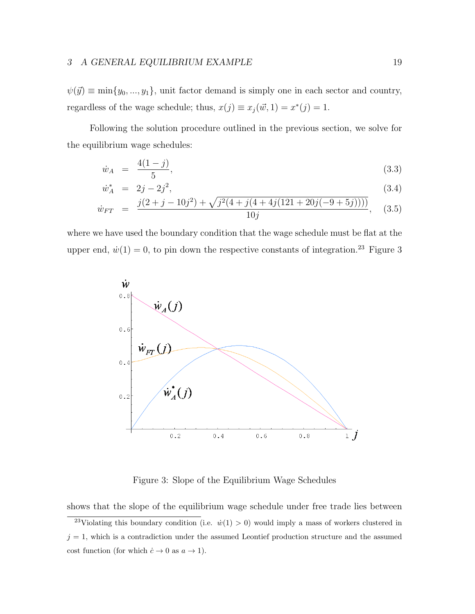#### 3 A GENERAL EQUILIBRIUM EXAMPLE 19

 $\psi(\vec{y}) \equiv \min\{y_0, ..., y_1\}$ , unit factor demand is simply one in each sector and country, regardless of the wage schedule; thus,  $x(j) \equiv x_j(\vec{w}, 1) = x^*(j) = 1$ .

Following the solution procedure outlined in the previous section, we solve for the equilibrium wage schedules:

$$
\dot{w}_A = \frac{4(1-j)}{5},\tag{3.3}
$$

$$
\dot{w}_A^* = 2j - 2j^2,\tag{3.4}
$$

$$
\dot{w}_{FT} = \frac{j(2+j-10j^2) + \sqrt{j^2(4+j(4+4j(121+20j(-9+5j))))}}{10j}, \quad (3.5)
$$

where we have used the boundary condition that the wage schedule must be flat at the upper end,  $\dot{w}(1) = 0$ , to pin down the respective constants of integration.<sup>23</sup> Figure 3



Figure 3: Slope of the Equilibrium Wage Schedules

shows that the slope of the equilibrium wage schedule under free trade lies between

<sup>&</sup>lt;sup>23</sup>Violating this boundary condition (i.e.  $\dot{w}(1) > 0$ ) would imply a mass of workers clustered in  $j = 1$ , which is a contradiction under the assumed Leontief production structure and the assumed cost function (for which  $\dot{c} \to 0$  as  $a \to 1$ ).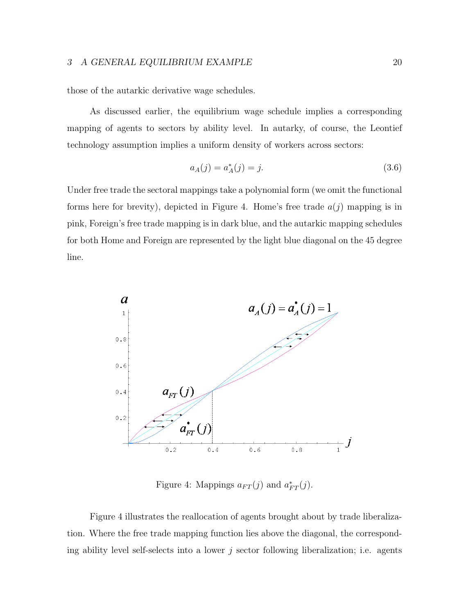those of the autarkic derivative wage schedules.

As discussed earlier, the equilibrium wage schedule implies a corresponding mapping of agents to sectors by ability level. In autarky, of course, the Leontief technology assumption implies a uniform density of workers across sectors:

$$
a_A(j) = a_A^*(j) = j.
$$
\n(3.6)

Under free trade the sectoral mappings take a polynomial form (we omit the functional forms here for brevity), depicted in Figure 4. Home's free trade  $a(j)$  mapping is in pink, Foreign's free trade mapping is in dark blue, and the autarkic mapping schedules for both Home and Foreign are represented by the light blue diagonal on the 45 degree line.



Figure 4: Mappings  $a_{FT}(j)$  and  $a_{FT}^*(j)$ .

Figure 4 illustrates the reallocation of agents brought about by trade liberalization. Where the free trade mapping function lies above the diagonal, the corresponding ability level self-selects into a lower  $j$  sector following liberalization; i.e. agents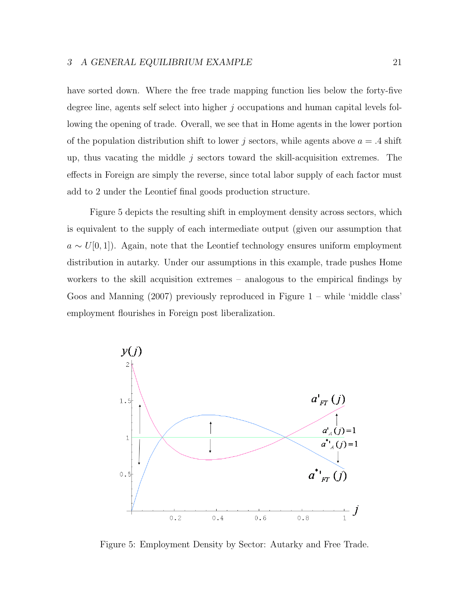have sorted down. Where the free trade mapping function lies below the forty-five degree line, agents self select into higher j occupations and human capital levels following the opening of trade. Overall, we see that in Home agents in the lower portion of the population distribution shift to lower j sectors, while agents above  $a = .4$  shift up, thus vacating the middle  $j$  sectors toward the skill-acquisition extremes. The effects in Foreign are simply the reverse, since total labor supply of each factor must add to 2 under the Leontief final goods production structure.

Figure 5 depicts the resulting shift in employment density across sectors, which is equivalent to the supply of each intermediate output (given our assumption that  $a \sim U[0, 1]$ ). Again, note that the Leontief technology ensures uniform employment distribution in autarky. Under our assumptions in this example, trade pushes Home workers to the skill acquisition extremes – analogous to the empirical findings by Goos and Manning (2007) previously reproduced in Figure 1 – while 'middle class' employment flourishes in Foreign post liberalization.



Figure 5: Employment Density by Sector: Autarky and Free Trade.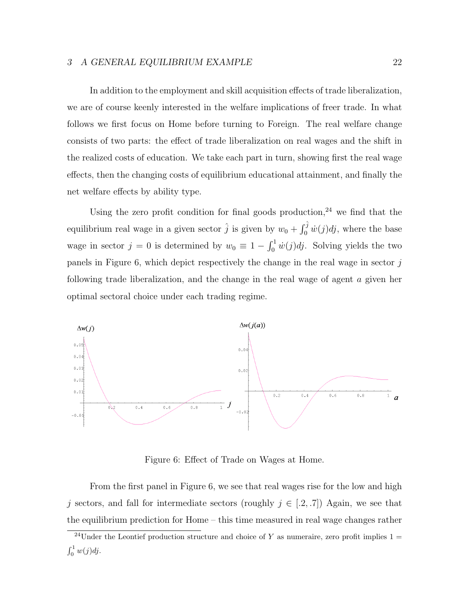#### 3 A GENERAL EQUILIBRIUM EXAMPLE 22

In addition to the employment and skill acquisition effects of trade liberalization, we are of course keenly interested in the welfare implications of freer trade. In what follows we first focus on Home before turning to Foreign. The real welfare change consists of two parts: the effect of trade liberalization on real wages and the shift in the realized costs of education. We take each part in turn, showing first the real wage effects, then the changing costs of equilibrium educational attainment, and finally the net welfare effects by ability type.

Using the zero profit condition for final goods production.<sup>24</sup> we find that the equilibrium real wage in a given sector  $\hat{j}$  is given by  $w_0 + \int_0^{\hat{j}} \dot{w}(j) \dot{dj}$ , where the base wage in sector  $j = 0$  is determined by  $w_0 \equiv 1 - \int_0^1 \dot{w}(j)dj$ . Solving yields the two panels in Figure 6, which depict respectively the change in the real wage in sector  $j$ following trade liberalization, and the change in the real wage of agent a given her optimal sectoral choice under each trading regime.



Figure 6: Effect of Trade on Wages at Home.

From the first panel in Figure 6, we see that real wages rise for the low and high j sectors, and fall for intermediate sectors (roughly  $j \in [.2, .7])$  Again, we see that the equilibrium prediction for Home – this time measured in real wage changes rather

<sup>&</sup>lt;sup>24</sup>Under the Leontief production structure and choice of Y as numeraire, zero profit implies  $1 =$  $\int_0^1 w(j) \, dj$ .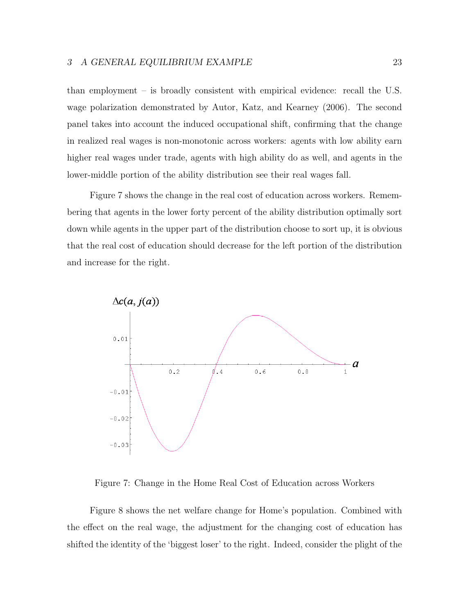than employment – is broadly consistent with empirical evidence: recall the U.S. wage polarization demonstrated by Autor, Katz, and Kearney (2006). The second panel takes into account the induced occupational shift, confirming that the change in realized real wages is non-monotonic across workers: agents with low ability earn higher real wages under trade, agents with high ability do as well, and agents in the lower-middle portion of the ability distribution see their real wages fall.

Figure 7 shows the change in the real cost of education across workers. Remembering that agents in the lower forty percent of the ability distribution optimally sort down while agents in the upper part of the distribution choose to sort up, it is obvious that the real cost of education should decrease for the left portion of the distribution and increase for the right.



Figure 7: Change in the Home Real Cost of Education across Workers

Figure 8 shows the net welfare change for Home's population. Combined with the effect on the real wage, the adjustment for the changing cost of education has shifted the identity of the 'biggest loser' to the right. Indeed, consider the plight of the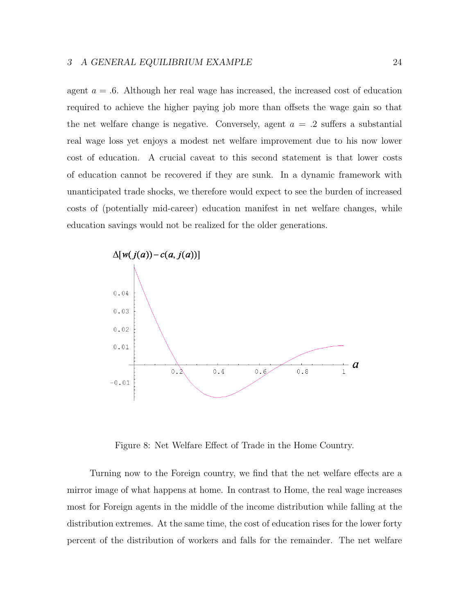agent  $a = .6$ . Although her real wage has increased, the increased cost of education required to achieve the higher paying job more than offsets the wage gain so that the net welfare change is negative. Conversely, agent  $a = .2$  suffers a substantial real wage loss yet enjoys a modest net welfare improvement due to his now lower cost of education. A crucial caveat to this second statement is that lower costs of education cannot be recovered if they are sunk. In a dynamic framework with unanticipated trade shocks, we therefore would expect to see the burden of increased costs of (potentially mid-career) education manifest in net welfare changes, while education savings would not be realized for the older generations.



Figure 8: Net Welfare Effect of Trade in the Home Country.

Turning now to the Foreign country, we find that the net welfare effects are a mirror image of what happens at home. In contrast to Home, the real wage increases most for Foreign agents in the middle of the income distribution while falling at the distribution extremes. At the same time, the cost of education rises for the lower forty percent of the distribution of workers and falls for the remainder. The net welfare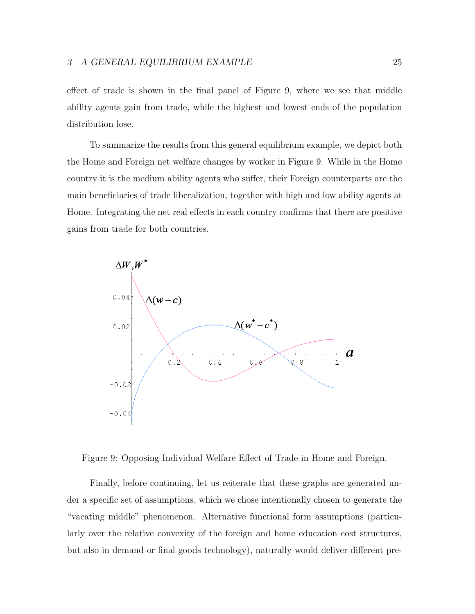effect of trade is shown in the final panel of Figure 9, where we see that middle ability agents gain from trade, while the highest and lowest ends of the population distribution lose.

To summarize the results from this general equilibrium example, we depict both the Home and Foreign net welfare changes by worker in Figure 9. While in the Home country it is the medium ability agents who suffer, their Foreign counterparts are the main beneficiaries of trade liberalization, together with high and low ability agents at Home. Integrating the net real effects in each country confirms that there are positive gains from trade for both countries.



Figure 9: Opposing Individual Welfare Effect of Trade in Home and Foreign.

Finally, before continuing, let us reiterate that these graphs are generated under a specific set of assumptions, which we chose intentionally chosen to generate the "vacating middle" phenomenon. Alternative functional form assumptions (particularly over the relative convexity of the foreign and home education cost structures, but also in demand or final goods technology), naturally would deliver different pre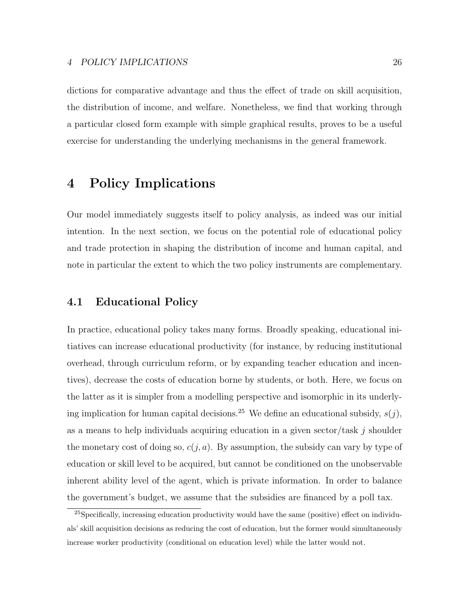dictions for comparative advantage and thus the effect of trade on skill acquisition, the distribution of income, and welfare. Nonetheless, we find that working through a particular closed form example with simple graphical results, proves to be a useful exercise for understanding the underlying mechanisms in the general framework.

# 4 Policy Implications

Our model immediately suggests itself to policy analysis, as indeed was our initial intention. In the next section, we focus on the potential role of educational policy and trade protection in shaping the distribution of income and human capital, and note in particular the extent to which the two policy instruments are complementary.

### 4.1 Educational Policy

In practice, educational policy takes many forms. Broadly speaking, educational initiatives can increase educational productivity (for instance, by reducing institutional overhead, through curriculum reform, or by expanding teacher education and incentives), decrease the costs of education borne by students, or both. Here, we focus on the latter as it is simpler from a modelling perspective and isomorphic in its underlying implication for human capital decisions.<sup>25</sup> We define an educational subsidy,  $s(j)$ , as a means to help individuals acquiring education in a given sector/task  $j$  shoulder the monetary cost of doing so,  $c(j, a)$ . By assumption, the subsidy can vary by type of education or skill level to be acquired, but cannot be conditioned on the unobservable inherent ability level of the agent, which is private information. In order to balance the government's budget, we assume that the subsidies are financed by a poll tax.

 $^{25}$ Specifically, increasing education productivity would have the same (positive) effect on individuals' skill acquisition decisions as reducing the cost of education, but the former would simultaneously increase worker productivity (conditional on education level) while the latter would not.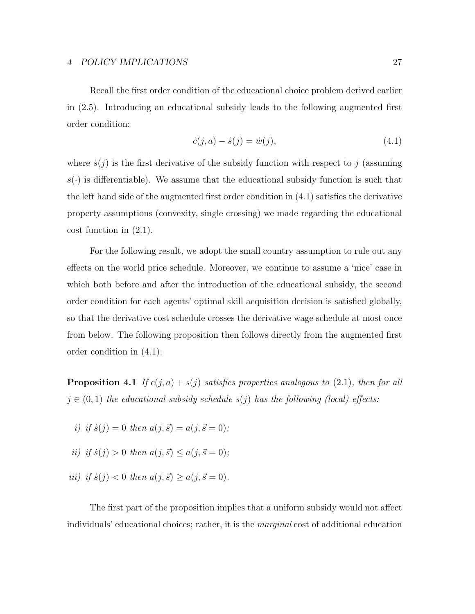Recall the first order condition of the educational choice problem derived earlier in (2.5). Introducing an educational subsidy leads to the following augmented first order condition:

$$
\dot{c}(j, a) - \dot{s}(j) = \dot{w}(j),\tag{4.1}
$$

where  $\dot{s}(i)$  is the first derivative of the subsidy function with respect to j (assuming  $s(\cdot)$  is differentiable). We assume that the educational subsidy function is such that the left hand side of the augmented first order condition in (4.1) satisfies the derivative property assumptions (convexity, single crossing) we made regarding the educational cost function in (2.1).

For the following result, we adopt the small country assumption to rule out any effects on the world price schedule. Moreover, we continue to assume a 'nice' case in which both before and after the introduction of the educational subsidy, the second order condition for each agents' optimal skill acquisition decision is satisfied globally, so that the derivative cost schedule crosses the derivative wage schedule at most once from below. The following proposition then follows directly from the augmented first order condition in (4.1):

**Proposition 4.1** If  $c(j, a) + s(j)$  satisfies properties analogous to (2.1), then for all  $j \in (0,1)$  the educational subsidy schedule  $s(j)$  has the following (local) effects:

- i) if  $\dot{s}(i) = 0$  then  $a(i, \vec{s}) = a(i, \vec{s} = 0);$
- ii) if  $\dot{s}(j) > 0$  then  $a(j, \vec{s}) \leq a(j, \vec{s} = 0);$
- iii) if  $\dot{s}(j) < 0$  then  $a(j, \vec{s}) > a(j, \vec{s} = 0)$ .

The first part of the proposition implies that a uniform subsidy would not affect individuals' educational choices; rather, it is the marginal cost of additional education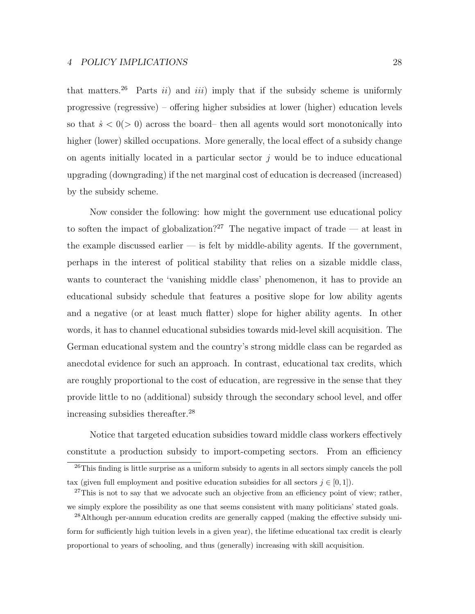that matters.<sup>26</sup> Parts *ii*) and *iii*) imply that if the subsidy scheme is uniformly progressive (regressive) – offering higher subsidies at lower (higher) education levels so that  $\dot{s} < 0$  ( $> 0$ ) across the board–then all agents would sort monotonically into higher (lower) skilled occupations. More generally, the local effect of a subsidy change on agents initially located in a particular sector  $j$  would be to induce educational upgrading (downgrading) if the net marginal cost of education is decreased (increased) by the subsidy scheme.

Now consider the following: how might the government use educational policy to soften the impact of globalization?<sup>27</sup> The negative impact of trade — at least in the example discussed earlier  $-$  is felt by middle-ability agents. If the government, perhaps in the interest of political stability that relies on a sizable middle class, wants to counteract the 'vanishing middle class' phenomenon, it has to provide an educational subsidy schedule that features a positive slope for low ability agents and a negative (or at least much flatter) slope for higher ability agents. In other words, it has to channel educational subsidies towards mid-level skill acquisition. The German educational system and the country's strong middle class can be regarded as anecdotal evidence for such an approach. In contrast, educational tax credits, which are roughly proportional to the cost of education, are regressive in the sense that they provide little to no (additional) subsidy through the secondary school level, and offer increasing subsidies thereafter.<sup>28</sup>

Notice that targeted education subsidies toward middle class workers effectively constitute a production subsidy to import-competing sectors. From an efficiency

<sup>&</sup>lt;sup>26</sup>This finding is little surprise as a uniform subsidy to agents in all sectors simply cancels the poll tax (given full employment and positive education subsidies for all sectors  $j \in [0, 1]$ ).

 $27$ This is not to say that we advocate such an objective from an efficiency point of view; rather, we simply explore the possibility as one that seems consistent with many politicians' stated goals.

<sup>&</sup>lt;sup>28</sup>Although per-annum education credits are generally capped (making the effective subsidy uniform for sufficiently high tuition levels in a given year), the lifetime educational tax credit is clearly proportional to years of schooling, and thus (generally) increasing with skill acquisition.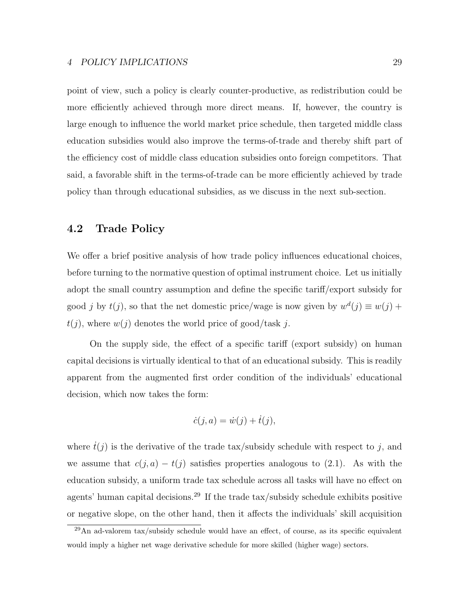point of view, such a policy is clearly counter-productive, as redistribution could be more efficiently achieved through more direct means. If, however, the country is large enough to influence the world market price schedule, then targeted middle class education subsidies would also improve the terms-of-trade and thereby shift part of the efficiency cost of middle class education subsidies onto foreign competitors. That said, a favorable shift in the terms-of-trade can be more efficiently achieved by trade policy than through educational subsidies, as we discuss in the next sub-section.

### 4.2 Trade Policy

We offer a brief positive analysis of how trade policy influences educational choices, before turning to the normative question of optimal instrument choice. Let us initially adopt the small country assumption and define the specific tariff/export subsidy for good j by  $t(j)$ , so that the net domestic price/wage is now given by  $w<sup>d</sup>(j) \equiv w(j) +$  $t(j)$ , where  $w(j)$  denotes the world price of good/task j.

On the supply side, the effect of a specific tariff (export subsidy) on human capital decisions is virtually identical to that of an educational subsidy. This is readily apparent from the augmented first order condition of the individuals' educational decision, which now takes the form:

$$
\dot{c}(j, a) = \dot{w}(j) + \dot{t}(j),
$$

where  $\dot{t}(j)$  is the derivative of the trade tax/subsidy schedule with respect to j, and we assume that  $c(j, a) - t(j)$  satisfies properties analogous to (2.1). As with the education subsidy, a uniform trade tax schedule across all tasks will have no effect on agents' human capital decisions.<sup>29</sup> If the trade tax/subsidy schedule exhibits positive or negative slope, on the other hand, then it affects the individuals' skill acquisition

 $^{29}$ An ad-valorem tax/subsidy schedule would have an effect, of course, as its specific equivalent would imply a higher net wage derivative schedule for more skilled (higher wage) sectors.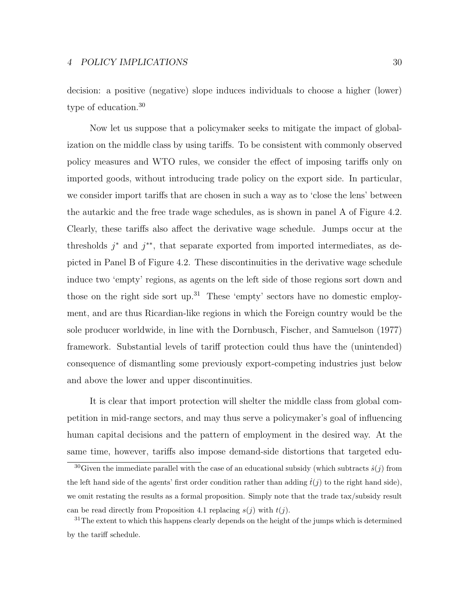decision: a positive (negative) slope induces individuals to choose a higher (lower) type of education.<sup>30</sup>

Now let us suppose that a policymaker seeks to mitigate the impact of globalization on the middle class by using tariffs. To be consistent with commonly observed policy measures and WTO rules, we consider the effect of imposing tariffs only on imported goods, without introducing trade policy on the export side. In particular, we consider import tariffs that are chosen in such a way as to 'close the lens' between the autarkic and the free trade wage schedules, as is shown in panel A of Figure 4.2. Clearly, these tariffs also affect the derivative wage schedule. Jumps occur at the thresholds  $j^*$  and  $j^{**}$ , that separate exported from imported intermediates, as depicted in Panel B of Figure 4.2. These discontinuities in the derivative wage schedule induce two 'empty' regions, as agents on the left side of those regions sort down and those on the right side sort up.<sup>31</sup> These 'empty' sectors have no domestic employment, and are thus Ricardian-like regions in which the Foreign country would be the sole producer worldwide, in line with the Dornbusch, Fischer, and Samuelson (1977) framework. Substantial levels of tariff protection could thus have the (unintended) consequence of dismantling some previously export-competing industries just below and above the lower and upper discontinuities.

It is clear that import protection will shelter the middle class from global competition in mid-range sectors, and may thus serve a policymaker's goal of influencing human capital decisions and the pattern of employment in the desired way. At the same time, however, tariffs also impose demand-side distortions that targeted edu-

<sup>&</sup>lt;sup>30</sup>Given the immediate parallel with the case of an educational subsidy (which subtracts  $\dot{s}(j)$  from the left hand side of the agents' first order condition rather than adding  $t(j)$  to the right hand side), we omit restating the results as a formal proposition. Simply note that the trade tax/subsidy result can be read directly from Proposition 4.1 replacing  $s(i)$  with  $t(i)$ .

 $31$ The extent to which this happens clearly depends on the height of the jumps which is determined by the tariff schedule.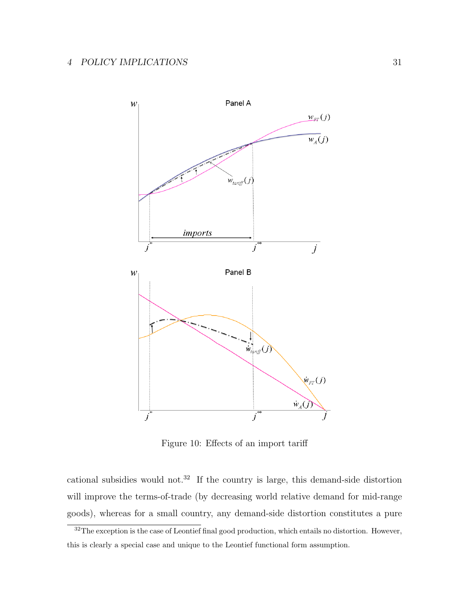

Figure 10: Effects of an import tariff

cational subsidies would not.<sup>32</sup> If the country is large, this demand-side distortion will improve the terms-of-trade (by decreasing world relative demand for mid-range goods), whereas for a small country, any demand-side distortion constitutes a pure

<sup>&</sup>lt;sup>32</sup>The exception is the case of Leontief final good production, which entails no distortion. However, this is clearly a special case and unique to the Leontief functional form assumption.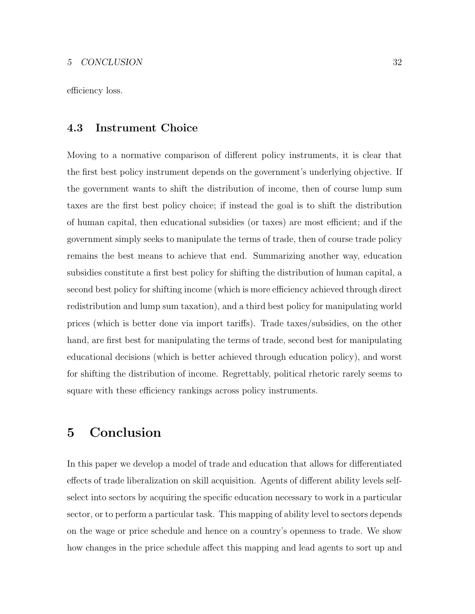efficiency loss.

### 4.3 Instrument Choice

Moving to a normative comparison of different policy instruments, it is clear that the first best policy instrument depends on the government's underlying objective. If the government wants to shift the distribution of income, then of course lump sum taxes are the first best policy choice; if instead the goal is to shift the distribution of human capital, then educational subsidies (or taxes) are most efficient; and if the government simply seeks to manipulate the terms of trade, then of course trade policy remains the best means to achieve that end. Summarizing another way, education subsidies constitute a first best policy for shifting the distribution of human capital, a second best policy for shifting income (which is more efficiency achieved through direct redistribution and lump sum taxation), and a third best policy for manipulating world prices (which is better done via import tariffs). Trade taxes/subsidies, on the other hand, are first best for manipulating the terms of trade, second best for manipulating educational decisions (which is better achieved through education policy), and worst for shifting the distribution of income. Regrettably, political rhetoric rarely seems to square with these efficiency rankings across policy instruments.

# 5 Conclusion

In this paper we develop a model of trade and education that allows for differentiated effects of trade liberalization on skill acquisition. Agents of different ability levels selfselect into sectors by acquiring the specific education necessary to work in a particular sector, or to perform a particular task. This mapping of ability level to sectors depends on the wage or price schedule and hence on a country's openness to trade. We show how changes in the price schedule affect this mapping and lead agents to sort up and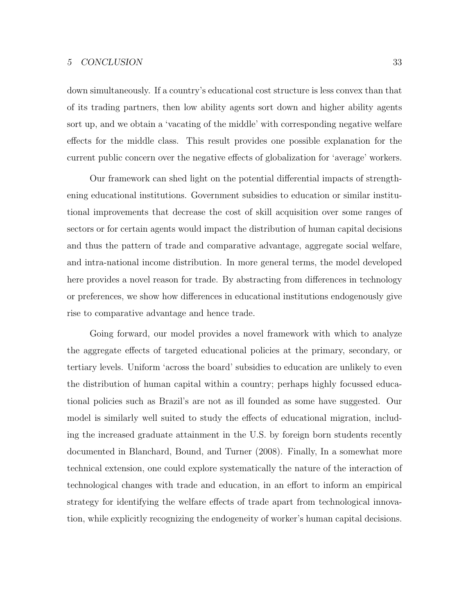#### 5 CONCLUSION 33

down simultaneously. If a country's educational cost structure is less convex than that of its trading partners, then low ability agents sort down and higher ability agents sort up, and we obtain a 'vacating of the middle' with corresponding negative welfare effects for the middle class. This result provides one possible explanation for the current public concern over the negative effects of globalization for 'average' workers.

Our framework can shed light on the potential differential impacts of strengthening educational institutions. Government subsidies to education or similar institutional improvements that decrease the cost of skill acquisition over some ranges of sectors or for certain agents would impact the distribution of human capital decisions and thus the pattern of trade and comparative advantage, aggregate social welfare, and intra-national income distribution. In more general terms, the model developed here provides a novel reason for trade. By abstracting from differences in technology or preferences, we show how differences in educational institutions endogenously give rise to comparative advantage and hence trade.

Going forward, our model provides a novel framework with which to analyze the aggregate effects of targeted educational policies at the primary, secondary, or tertiary levels. Uniform 'across the board' subsidies to education are unlikely to even the distribution of human capital within a country; perhaps highly focussed educational policies such as Brazil's are not as ill founded as some have suggested. Our model is similarly well suited to study the effects of educational migration, including the increased graduate attainment in the U.S. by foreign born students recently documented in Blanchard, Bound, and Turner (2008). Finally, In a somewhat more technical extension, one could explore systematically the nature of the interaction of technological changes with trade and education, in an effort to inform an empirical strategy for identifying the welfare effects of trade apart from technological innovation, while explicitly recognizing the endogeneity of worker's human capital decisions.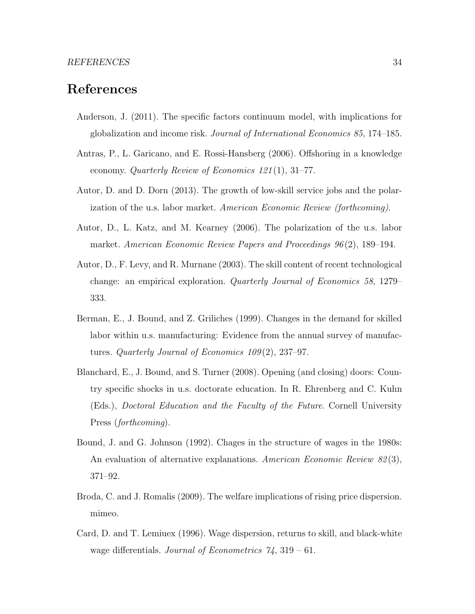### References

- Anderson, J. (2011). The specific factors continuum model, with implications for globalization and income risk. Journal of International Economics 85, 174–185.
- Antras, P., L. Garicano, and E. Rossi-Hansberg (2006). Offshoring in a knowledge economy. Quarterly Review of Economics 121 (1), 31–77.
- Autor, D. and D. Dorn (2013). The growth of low-skill service jobs and the polarization of the u.s. labor market. American Economic Review (forthcoming).
- Autor, D., L. Katz, and M. Kearney (2006). The polarization of the u.s. labor market. American Economic Review Papers and Proceedings 96 (2), 189–194.
- Autor, D., F. Levy, and R. Murnane (2003). The skill content of recent technological change: an empirical exploration. Quarterly Journal of Economics 58, 1279– 333.
- Berman, E., J. Bound, and Z. Griliches (1999). Changes in the demand for skilled labor within u.s. manufacturing: Evidence from the annual survey of manufactures. Quarterly Journal of Economics  $109(2)$ , 237–97.
- Blanchard, E., J. Bound, and S. Turner (2008). Opening (and closing) doors: Country specific shocks in u.s. doctorate education. In R. Ehrenberg and C. Kuhn (Eds.), Doctoral Education and the Faculty of the Future. Cornell University Press (forthcoming).
- Bound, J. and G. Johnson (1992). Chages in the structure of wages in the 1980s: An evaluation of alternative explanations. American Economic Review 82(3), 371–92.
- Broda, C. and J. Romalis (2009). The welfare implications of rising price dispersion. mimeo.
- Card, D. and T. Lemiuex (1996). Wage dispersion, returns to skill, and black-white wage differentials. Journal of Econometrics  $\gamma_4$ , 319 – 61.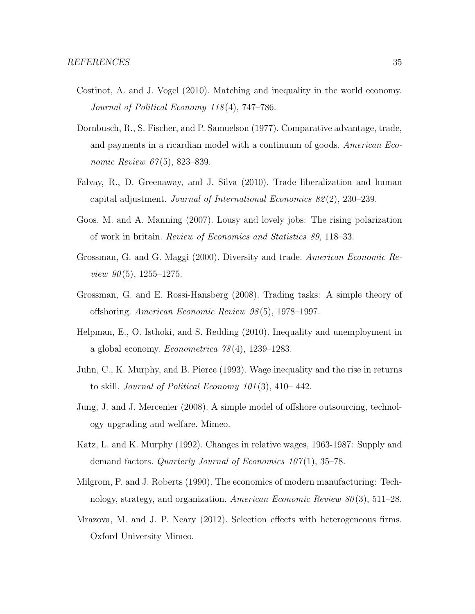- Costinot, A. and J. Vogel (2010). Matching and inequality in the world economy. Journal of Political Economy 118 (4), 747–786.
- Dornbusch, R., S. Fischer, and P. Samuelson (1977). Comparative advantage, trade, and payments in a ricardian model with a continuum of goods. American Economic Review 67(5), 823–839.
- Falvay, R., D. Greenaway, and J. Silva (2010). Trade liberalization and human capital adjustment. Journal of International Economics 82 (2), 230–239.
- Goos, M. and A. Manning (2007). Lousy and lovely jobs: The rising polarization of work in britain. Review of Economics and Statistics 89, 118–33.
- Grossman, G. and G. Maggi (2000). Diversity and trade. American Economic Re*view 90*(5), 1255–1275.
- Grossman, G. and E. Rossi-Hansberg (2008). Trading tasks: A simple theory of offshoring. American Economic Review 98 (5), 1978–1997.
- Helpman, E., O. Isthoki, and S. Redding (2010). Inequality and unemployment in a global economy. *Econometrica*  $78(4)$ , 1239–1283.
- Juhn, C., K. Murphy, and B. Pierce (1993). Wage inequality and the rise in returns to skill. Journal of Political Economy  $101(3)$ ,  $410-442$ .
- Jung, J. and J. Mercenier (2008). A simple model of offshore outsourcing, technology upgrading and welfare. Mimeo.
- Katz, L. and K. Murphy (1992). Changes in relative wages, 1963-1987: Supply and demand factors. Quarterly Journal of Economics  $107(1)$ , 35–78.
- Milgrom, P. and J. Roberts (1990). The economics of modern manufacturing: Technology, strategy, and organization. American Economic Review  $80(3)$ , 511–28.
- Mrazova, M. and J. P. Neary (2012). Selection effects with heterogeneous firms. Oxford University Mimeo.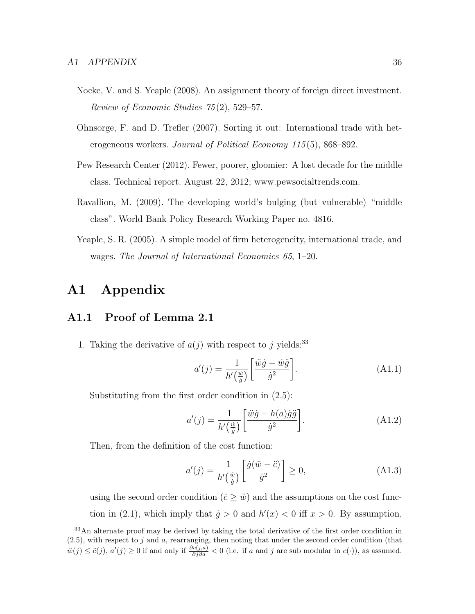- Nocke, V. and S. Yeaple (2008). An assignment theory of foreign direct investment. Review of Economic Studies 75 (2), 529–57.
- Ohnsorge, F. and D. Trefler (2007). Sorting it out: International trade with heterogeneous workers. Journal of Political Economy 115(5), 868–892.
- Pew Research Center (2012). Fewer, poorer, gloomier: A lost decade for the middle class. Technical report. August 22, 2012; www.pewsocialtrends.com.
- Ravallion, M. (2009). The developing world's bulging (but vulnerable) "middle class". World Bank Policy Research Working Paper no. 4816.
- Yeaple, S. R. (2005). A simple model of firm heterogeneity, international trade, and wages. The Journal of International Economics 65, 1–20.

# A1 Appendix

### A1.1 Proof of Lemma 2.1

1. Taking the derivative of  $a(j)$  with respect to j yields:<sup>33</sup>

$$
a'(j) = \frac{1}{h'\left(\frac{\dot{w}}{\dot{g}}\right)} \left[\frac{\ddot{w}\dot{g} - \dot{w}\ddot{g}}{\dot{g}^2}\right].
$$
 (A1.1)

Substituting from the first order condition in (2.5):

$$
a'(j) = \frac{1}{h'\left(\frac{\dot{w}}{\dot{g}}\right)} \left[\frac{\ddot{w}\dot{g} - h(a)\dot{g}\ddot{g}}{\dot{g}^2}\right].
$$
 (A1.2)

Then, from the definition of the cost function:

$$
a'(j) = \frac{1}{h'\left(\frac{\dot{w}}{\dot{g}}\right)} \left[\frac{\dot{g}(\ddot{w} - \ddot{c})}{\dot{g}^2}\right] \ge 0,
$$
\n(A1.3)

using the second order condition  $(\ddot{c} \geq \ddot{w})$  and the assumptions on the cost function in (2.1), which imply that  $\dot{g} > 0$  and  $h'(x) < 0$  iff  $x > 0$ . By assumption,

<sup>&</sup>lt;sup>33</sup>An alternate proof may be derived by taking the total derivative of the first order condition in  $(2.5)$ , with respect to j and a, rearranging, then noting that under the second order condition (that  $\ddot{w}(j) \le \ddot{c}(j), a'(j) \ge 0$  if and only if  $\frac{\partial c(j,a)}{\partial j \partial a} < 0$  (i.e. if a and j are sub modular in  $c(\cdot)$ ), as assumed.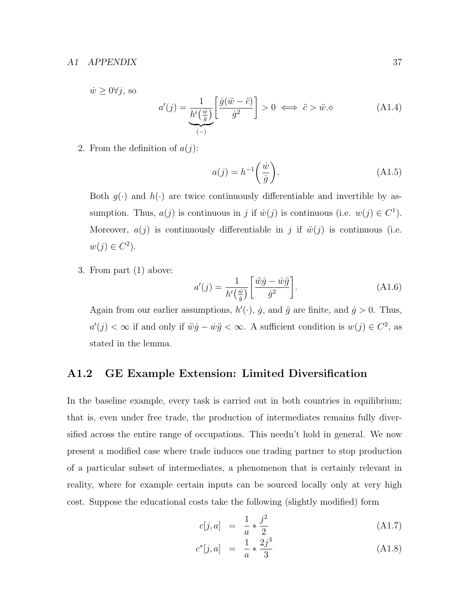#### A1 APPENDIX 37

 $\dot{w} \geq 0 \forall j$ , so

$$
a'(j) = \underbrace{\frac{1}{h'(\frac{\dot{w}}{g})} \left[ \frac{\dot{g}(\ddot{w} - \ddot{c})}{\dot{g}^2} \right]}_{(-)} > 0 \iff \ddot{c} > \ddot{w}.\diamond
$$
 (A1.4)

2. From the definition of  $a(j)$ :

$$
a(j) = h^{-1}\left(\frac{\dot{w}}{\dot{g}}\right). \tag{A1.5}
$$

Both  $g(\cdot)$  and  $h(\cdot)$  are twice continuously differentiable and invertible by assumption. Thus,  $a(j)$  is continuous in j if  $\dot{w}(j)$  is continuous (i.e.  $w(j) \in C^1$ ). Moreover,  $a(j)$  is continuously differentiable in j if  $\ddot{w}(j)$  is continuous (i.e.  $w(j) \in C^2$ ).

3. From part (1) above:

$$
a'(j) = \frac{1}{h'\left(\frac{\dot{w}}{\dot{g}}\right)} \left[\frac{\ddot{w}\dot{g} - \dot{w}\ddot{g}}{\dot{g}^2}\right].
$$
 (A1.6)

Again from our earlier assumptions,  $h'(\cdot)$ ,  $\dot{g}$ , and  $\ddot{g}$  are finite, and  $\dot{g} > 0$ . Thus,  $a'(j) < \infty$  if and only if  $\ddot{w}\dot{g} - \dot{w}\ddot{g} < \infty$ . A sufficient condition is  $w(j) \in C^2$ , as stated in the lemma.

### A1.2 GE Example Extension: Limited Diversification

In the baseline example, every task is carried out in both countries in equilibrium; that is, even under free trade, the production of intermediates remains fully diversified across the entire range of occupations. This needn't hold in general. We now present a modified case where trade induces one trading partner to stop production of a particular subset of intermediates, a phenomenon that is certainly relevant in reality, where for example certain inputs can be sourced locally only at very high cost. Suppose the educational costs take the following (slightly modified) form

$$
c[j, a] = \frac{1}{a} * \frac{j^2}{2}
$$
 (A1.7)

$$
c^*[j, a] = \frac{1}{a} * \frac{2j^3}{3} \tag{A1.8}
$$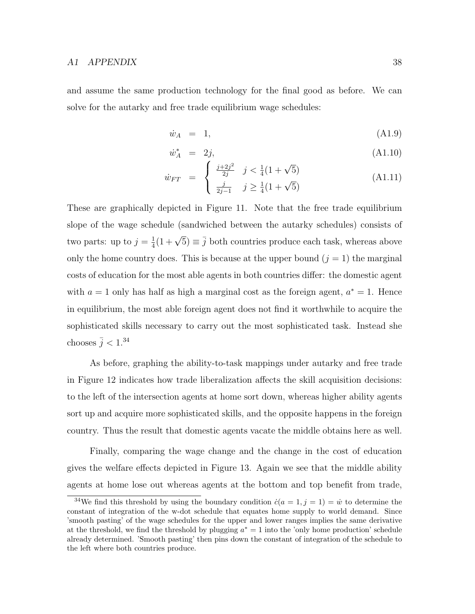and assume the same production technology for the final good as before. We can solve for the autarky and free trade equilibrium wage schedules:

$$
\dot{w}_A = 1, \tag{A1.9}
$$

$$
\dot{w}_A^* = 2j,\tag{A1.10}
$$

$$
\dot{w}_{FT} = \begin{cases} \frac{j+2j^2}{2j} & j < \frac{1}{4}(1+\sqrt{5})\\ \frac{j}{2j-1} & j \ge \frac{1}{4}(1+\sqrt{5}) \end{cases}
$$
(A1.11)

These are graphically depicted in Figure 11. Note that the free trade equilibrium slope of the wage schedule (sandwiched between the autarky schedules) consists of two parts: up to  $j=\frac{1}{4}$  $\frac{1}{4}(1+\sqrt{5}) \equiv \overline{j}$  both countries produce each task, whereas above only the home country does. This is because at the upper bound  $(j = 1)$  the marginal costs of education for the most able agents in both countries differ: the domestic agent with  $a = 1$  only has half as high a marginal cost as the foreign agent,  $a^* = 1$ . Hence in equilibrium, the most able foreign agent does not find it worthwhile to acquire the sophisticated skills necessary to carry out the most sophisticated task. Instead she chooses  $\bar{j} < 1.^{34}$ 

As before, graphing the ability-to-task mappings under autarky and free trade in Figure 12 indicates how trade liberalization affects the skill acquisition decisions: to the left of the intersection agents at home sort down, whereas higher ability agents sort up and acquire more sophisticated skills, and the opposite happens in the foreign country. Thus the result that domestic agents vacate the middle obtains here as well.

Finally, comparing the wage change and the change in the cost of education gives the welfare effects depicted in Figure 13. Again we see that the middle ability agents at home lose out whereas agents at the bottom and top benefit from trade,

<sup>&</sup>lt;sup>34</sup>We find this threshold by using the boundary condition  $\dot{c}(a = 1, j = 1) = \dot{w}$  to determine the constant of integration of the w-dot schedule that equates home supply to world demand. Since 'smooth pasting' of the wage schedules for the upper and lower ranges implies the same derivative at the threshold, we find the threshold by plugging  $a^* = 1$  into the 'only home production' schedule already determined. 'Smooth pasting' then pins down the constant of integration of the schedule to the left where both countries produce.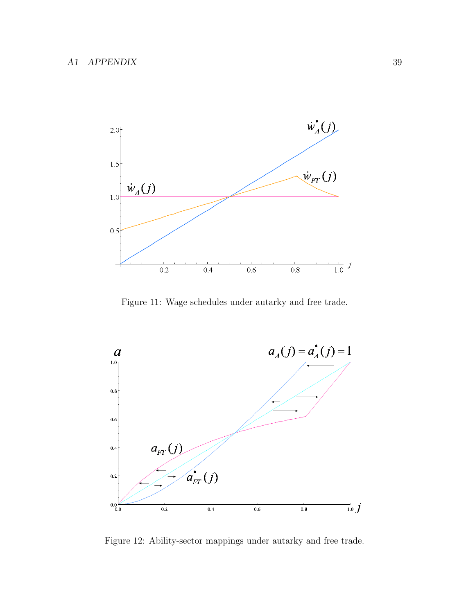

Figure 11: Wage schedules under autarky and free trade.



Figure 12: Ability-sector mappings under autarky and free trade.